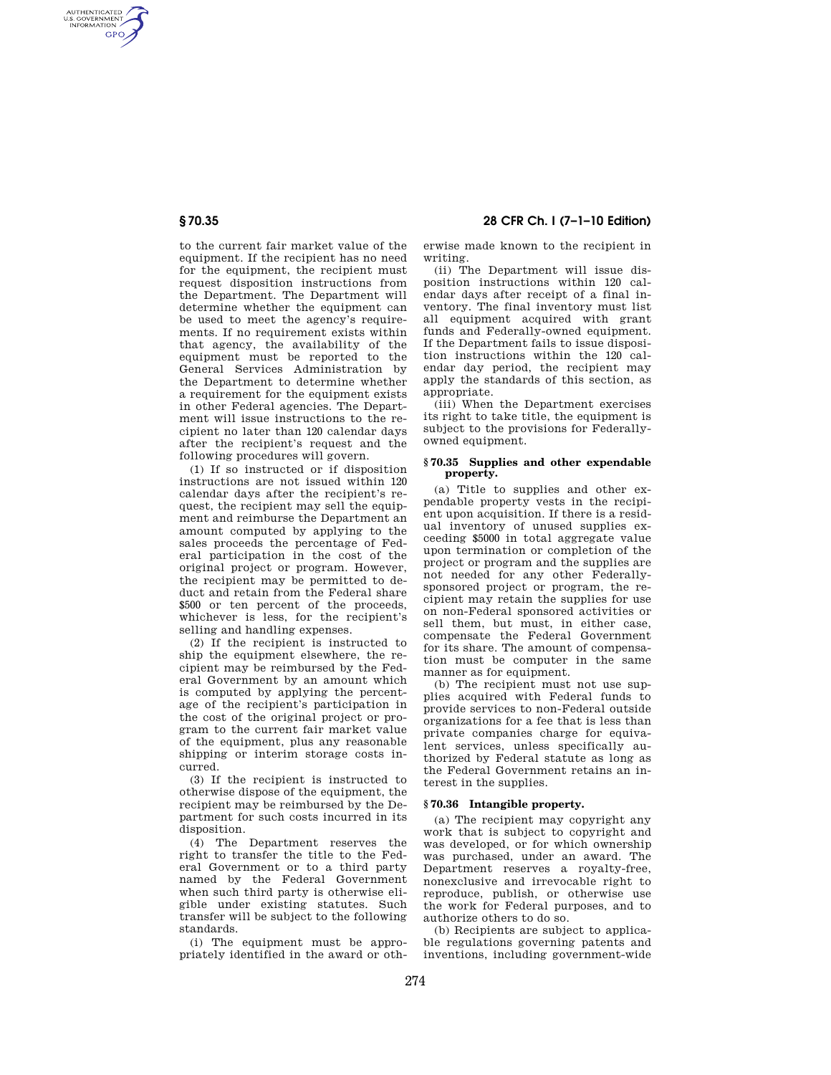AUTHENTICATED<br>U.S. GOVERNMENT<br>INFORMATION **GPO** 

> to the current fair market value of the equipment. If the recipient has no need for the equipment, the recipient must request disposition instructions from the Department. The Department will determine whether the equipment can be used to meet the agency's requirements. If no requirement exists within that agency, the availability of the equipment must be reported to the General Services Administration by the Department to determine whether a requirement for the equipment exists in other Federal agencies. The Department will issue instructions to the recipient no later than 120 calendar days after the recipient's request and the following procedures will govern.

> (1) If so instructed or if disposition instructions are not issued within 120 calendar days after the recipient's request, the recipient may sell the equipment and reimburse the Department an amount computed by applying to the sales proceeds the percentage of Federal participation in the cost of the original project or program. However, the recipient may be permitted to deduct and retain from the Federal share \$500 or ten percent of the proceeds, whichever is less, for the recipient's selling and handling expenses.

> (2) If the recipient is instructed to ship the equipment elsewhere, the recipient may be reimbursed by the Federal Government by an amount which is computed by applying the percentage of the recipient's participation in the cost of the original project or program to the current fair market value of the equipment, plus any reasonable shipping or interim storage costs incurred.

> (3) If the recipient is instructed to otherwise dispose of the equipment, the recipient may be reimbursed by the Department for such costs incurred in its disposition.

> (4) The Department reserves the right to transfer the title to the Federal Government or to a third party named by the Federal Government when such third party is otherwise eligible under existing statutes. Such transfer will be subject to the following standards.

> (i) The equipment must be appropriately identified in the award or oth-

**§ 70.35 28 CFR Ch. I (7–1–10 Edition)** 

erwise made known to the recipient in writing.

(ii) The Department will issue disposition instructions within 120 calendar days after receipt of a final inventory. The final inventory must list all equipment acquired with grant funds and Federally-owned equipment. If the Department fails to issue disposition instructions within the 120 calendar day period, the recipient may apply the standards of this section, as appropriate.

(iii) When the Department exercises its right to take title, the equipment is subject to the provisions for Federallyowned equipment.

## **§ 70.35 Supplies and other expendable property.**

(a) Title to supplies and other expendable property vests in the recipient upon acquisition. If there is a residual inventory of unused supplies exceeding \$5000 in total aggregate value upon termination or completion of the project or program and the supplies are not needed for any other Federallysponsored project or program, the recipient may retain the supplies for use on non-Federal sponsored activities or sell them, but must, in either case, compensate the Federal Government for its share. The amount of compensation must be computer in the same manner as for equipment.

(b) The recipient must not use supplies acquired with Federal funds to provide services to non-Federal outside organizations for a fee that is less than private companies charge for equivalent services, unless specifically authorized by Federal statute as long as the Federal Government retains an interest in the supplies.

## **§ 70.36 Intangible property.**

(a) The recipient may copyright any work that is subject to copyright and was developed, or for which ownership was purchased, under an award. The Department reserves a royalty-free, nonexclusive and irrevocable right to reproduce, publish, or otherwise use the work for Federal purposes, and to authorize others to do so.

(b) Recipients are subject to applicable regulations governing patents and inventions, including government-wide